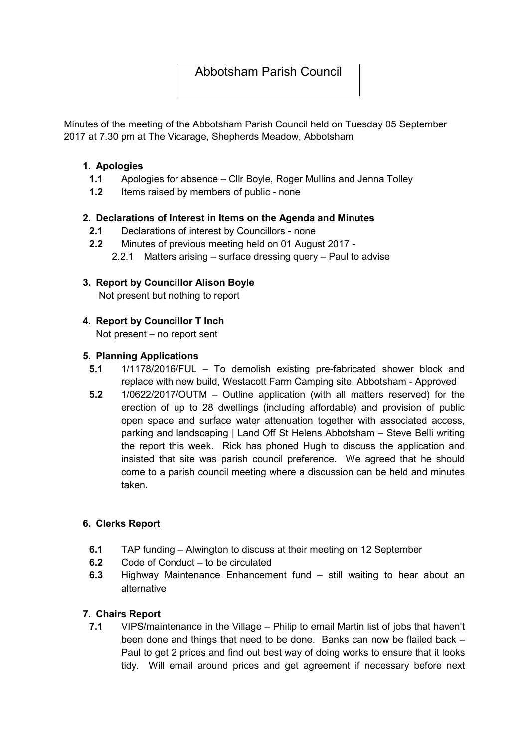# Abbotsham Parish Council

Minutes of the meeting of the Abbotsham Parish Council held on Tuesday 05 September 2017 at 7.30 pm at The Vicarage, Shepherds Meadow, Abbotsham

#### 1. Apologies

- 1.1 Apologies for absence Cllr Boyle, Roger Mullins and Jenna Tolley
- 1.2 Items raised by members of public none

#### 2. Declarations of Interest in Items on the Agenda and Minutes

- 2.1 Declarations of interest by Councillors none
- 2.2 Minutes of previous meeting held on 01 August 2017
	- 2.2.1 Matters arising surface dressing query Paul to advise

# 3. Report by Councillor Alison Boyle

Not present but nothing to report

## 4. Report by Councillor T Inch

Not present – no report sent

#### 5. Planning Applications

- 5.1 1/1178/2016/FUL To demolish existing pre-fabricated shower block and replace with new build, Westacott Farm Camping site, Abbotsham - Approved
- 5.2 1/0622/2017/OUTM Outline application (with all matters reserved) for the erection of up to 28 dwellings (including affordable) and provision of public open space and surface water attenuation together with associated access, parking and landscaping | Land Off St Helens Abbotsham – Steve Belli writing the report this week. Rick has phoned Hugh to discuss the application and insisted that site was parish council preference. We agreed that he should come to a parish council meeting where a discussion can be held and minutes taken.

## 6. Clerks Report

- 6.1 TAP funding Alwington to discuss at their meeting on 12 September
- 6.2 Code of Conduct to be circulated
- 6.3 Highway Maintenance Enhancement fund still waiting to hear about an alternative

## 7. Chairs Report

7.1 VIPS/maintenance in the Village – Philip to email Martin list of jobs that haven't been done and things that need to be done. Banks can now be flailed back – Paul to get 2 prices and find out best way of doing works to ensure that it looks tidy. Will email around prices and get agreement if necessary before next